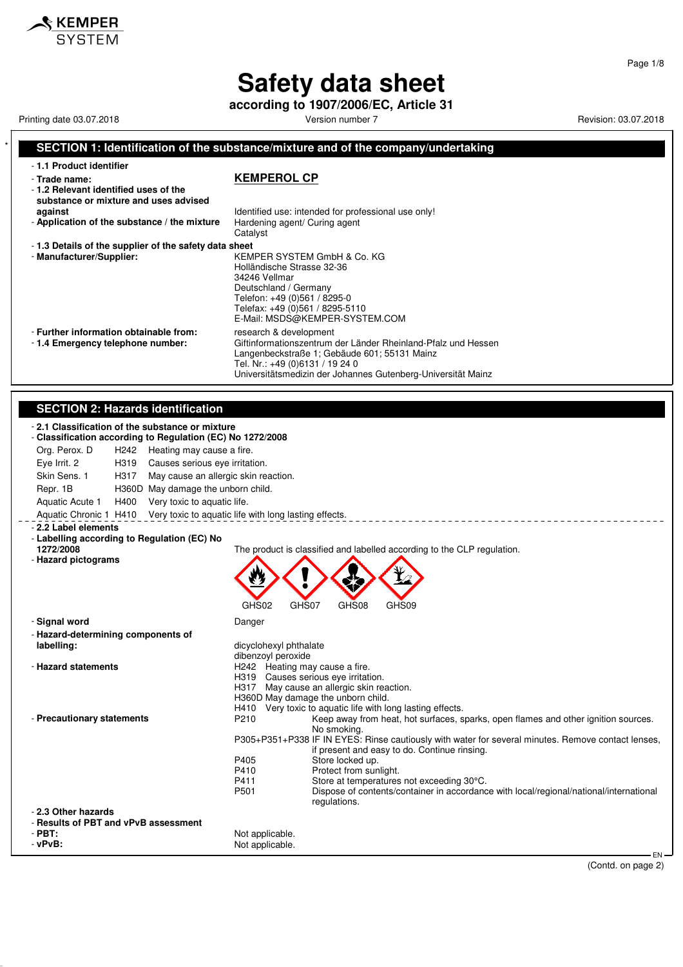**according to 1907/2006/EC, Article 31** Printing date 03.07.2018 **Printing date 03.07.2018** Version number 7 **Revision: 03.07.2018** 

<u>SKEMPER</u> **SYSTEM** 

### **SECTION 1: Identification of the substance/mixture and of the company/undertaking**

| - 1.1 Product identifier                                                                       |                                                                                                                                                                                                                                            |
|------------------------------------------------------------------------------------------------|--------------------------------------------------------------------------------------------------------------------------------------------------------------------------------------------------------------------------------------------|
| - Trade name:<br>-1.2 Relevant identified uses of the<br>substance or mixture and uses advised | <b>KEMPEROL CP</b>                                                                                                                                                                                                                         |
| against                                                                                        | Identified use: intended for professional use only!                                                                                                                                                                                        |
| - Application of the substance / the mixture                                                   | Hardening agent/ Curing agent<br>Catalyst                                                                                                                                                                                                  |
| -1.3 Details of the supplier of the safety data sheet                                          |                                                                                                                                                                                                                                            |
| - Manufacturer/Supplier:                                                                       | KEMPER SYSTEM GmbH & Co. KG<br>Holländische Strasse 32-36<br>34246 Vellmar<br>Deutschland / Germany<br>Telefon: +49 (0)561 / 8295-0<br>Telefax: +49 (0)561 / 8295-5110<br>E-Mail: MSDS@KEMPER-SYSTEM.COM                                   |
| - Further information obtainable from:<br>-1.4 Emergency telephone number:                     | research & development<br>Giftinformationszentrum der Länder Rheinland-Pfalz und Hessen<br>Langenbeckstraße 1; Gebäude 601; 55131 Mainz<br>Tel. Nr.: +49 (0)6131 / 19 24 0<br>Universitätsmedizin der Johannes Gutenberg-Universität Mainz |

#### **SECTION 2: Hazards identification**

| - 2.1 Classification of the substance or mixture<br>- Classification according to Regulation (EC) No 1272/2008 |                                                                                                                                                     |  |  |
|----------------------------------------------------------------------------------------------------------------|-----------------------------------------------------------------------------------------------------------------------------------------------------|--|--|
| Org. Perox. D<br>H <sub>242</sub><br>Heating may cause a fire.                                                 |                                                                                                                                                     |  |  |
| Eye Irrit. 2<br>H319<br>Causes serious eye irritation.                                                         |                                                                                                                                                     |  |  |
| Skin Sens. 1<br>H317                                                                                           | May cause an allergic skin reaction.                                                                                                                |  |  |
| Repr. 1B<br>H360D May damage the unborn child.                                                                 |                                                                                                                                                     |  |  |
| H400<br>Very toxic to aquatic life.<br>Aquatic Acute 1                                                         |                                                                                                                                                     |  |  |
| Aquatic Chronic 1 H410                                                                                         | Very toxic to aquatic life with long lasting effects.                                                                                               |  |  |
| - 2.2 Label elements                                                                                           |                                                                                                                                                     |  |  |
| - Labelling according to Regulation (EC) No                                                                    |                                                                                                                                                     |  |  |
| 1272/2008                                                                                                      | The product is classified and labelled according to the CLP regulation.                                                                             |  |  |
| - Hazard pictograms                                                                                            |                                                                                                                                                     |  |  |
|                                                                                                                |                                                                                                                                                     |  |  |
|                                                                                                                |                                                                                                                                                     |  |  |
|                                                                                                                |                                                                                                                                                     |  |  |
|                                                                                                                | GHS02<br>GHS07<br>GHS09<br>GHS08                                                                                                                    |  |  |
| - Signal word                                                                                                  | Danger                                                                                                                                              |  |  |
| - Hazard-determining components of                                                                             |                                                                                                                                                     |  |  |
| labelling:                                                                                                     | dicyclohexyl phthalate                                                                                                                              |  |  |
| - Hazard statements                                                                                            | dibenzoyl peroxide<br>H242 Heating may cause a fire.                                                                                                |  |  |
|                                                                                                                | H319 Causes serious eve irritation.                                                                                                                 |  |  |
|                                                                                                                | H317 May cause an allergic skin reaction.                                                                                                           |  |  |
|                                                                                                                | H360D May damage the unborn child.                                                                                                                  |  |  |
|                                                                                                                | H410 Very toxic to aquatic life with long lasting effects.                                                                                          |  |  |
| - Precautionary statements                                                                                     | P210<br>Keep away from heat, hot surfaces, sparks, open flames and other ignition sources.<br>No smoking.                                           |  |  |
|                                                                                                                | P305+P351+P338 IF IN EYES: Rinse cautiously with water for several minutes. Remove contact lenses,                                                  |  |  |
|                                                                                                                | if present and easy to do. Continue rinsing.                                                                                                        |  |  |
|                                                                                                                | P405<br>Store locked up.                                                                                                                            |  |  |
|                                                                                                                | P410<br>Protect from sunlight.                                                                                                                      |  |  |
|                                                                                                                | Store at temperatures not exceeding 30°C.<br>P411<br>P501<br>Dispose of contents/container in accordance with local/regional/national/international |  |  |
|                                                                                                                | regulations.                                                                                                                                        |  |  |
| - 2.3 Other hazards                                                                                            |                                                                                                                                                     |  |  |
| - Results of PBT and vPvB assessment                                                                           |                                                                                                                                                     |  |  |
| $-PBT:$                                                                                                        | Not applicable.                                                                                                                                     |  |  |
| $-vPvB$ :                                                                                                      | Not applicable.                                                                                                                                     |  |  |
|                                                                                                                | $EN-$                                                                                                                                               |  |  |

EN<br>(Contd. on page 2)

Page 1/8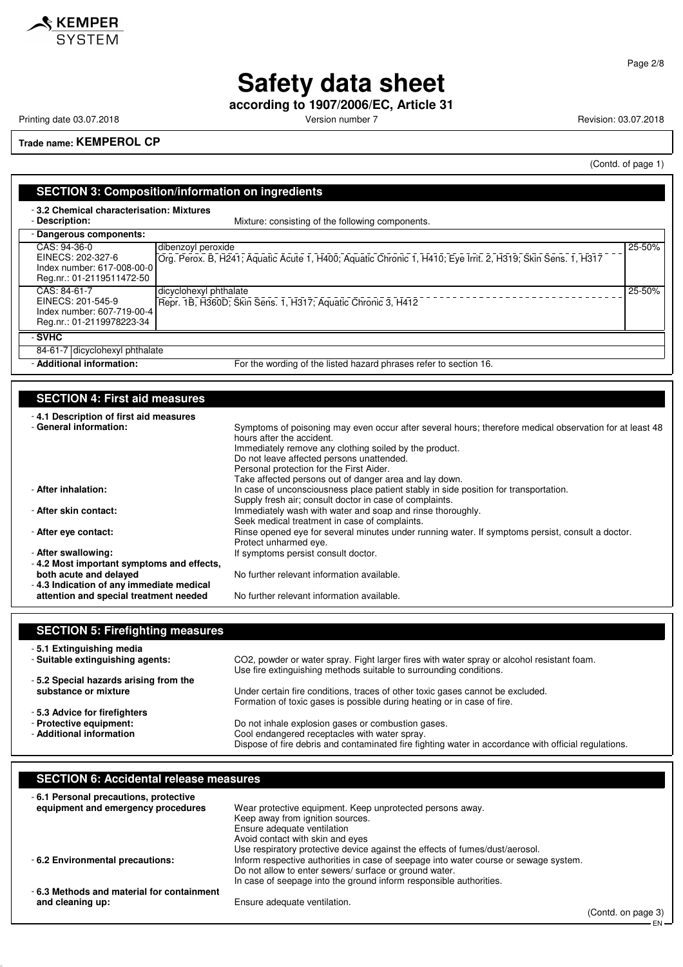

**according to 1907/2006/EC, Article 31**

Printing date 03.07.2018 **Printing date 03.07.2018** Version number 7 **Revision: 03.07.2018** 

**Trade name: KEMPEROL CP**

(Contd. of page 1)

– EN

| <b>SECTION 3: Composition/information on ingredients</b><br>-3.2 Chemical characterisation: Mixtures                                                                                                                                                                                                                            |                                                                                                                                                                                                                                                                                                                                                                                                                                                                                                                                                                                                                                                                                                                                                                                                                                                                                     |  |  |
|---------------------------------------------------------------------------------------------------------------------------------------------------------------------------------------------------------------------------------------------------------------------------------------------------------------------------------|-------------------------------------------------------------------------------------------------------------------------------------------------------------------------------------------------------------------------------------------------------------------------------------------------------------------------------------------------------------------------------------------------------------------------------------------------------------------------------------------------------------------------------------------------------------------------------------------------------------------------------------------------------------------------------------------------------------------------------------------------------------------------------------------------------------------------------------------------------------------------------------|--|--|
| - Description:                                                                                                                                                                                                                                                                                                                  | Mixture: consisting of the following components.                                                                                                                                                                                                                                                                                                                                                                                                                                                                                                                                                                                                                                                                                                                                                                                                                                    |  |  |
| - Dangerous components:                                                                                                                                                                                                                                                                                                         |                                                                                                                                                                                                                                                                                                                                                                                                                                                                                                                                                                                                                                                                                                                                                                                                                                                                                     |  |  |
| CAS: 94-36-0<br>dibenzoyl peroxide<br>EINECS: 202-327-6<br>Index number: 617-008-00-0<br>Reg.nr.: 01-2119511472-50                                                                                                                                                                                                              | 25-50%<br>Org. Perox. B, H241; Aquatic Acute 1, H400; Aquatic Chronic 1, H410; Eye Irrit. 2, H319; Skin Sens. 1, H317                                                                                                                                                                                                                                                                                                                                                                                                                                                                                                                                                                                                                                                                                                                                                               |  |  |
| CAS: 84-61-7<br>EINECS: 201-545-9<br>Index number: 607-719-00-4<br>Reg.nr.: 01-2119978223-34                                                                                                                                                                                                                                    | dicyclohexyl phthalate<br>25-50%<br>Repr. 1B, H360D; Skin Sens. 1, H317; Aquatic Chronic 3, H412                                                                                                                                                                                                                                                                                                                                                                                                                                                                                                                                                                                                                                                                                                                                                                                    |  |  |
| - SVHC                                                                                                                                                                                                                                                                                                                          |                                                                                                                                                                                                                                                                                                                                                                                                                                                                                                                                                                                                                                                                                                                                                                                                                                                                                     |  |  |
| 84-61-7 dicyclohexyl phthalate                                                                                                                                                                                                                                                                                                  |                                                                                                                                                                                                                                                                                                                                                                                                                                                                                                                                                                                                                                                                                                                                                                                                                                                                                     |  |  |
| - Additional information:                                                                                                                                                                                                                                                                                                       | For the wording of the listed hazard phrases refer to section 16.                                                                                                                                                                                                                                                                                                                                                                                                                                                                                                                                                                                                                                                                                                                                                                                                                   |  |  |
| - 4.1 Description of first aid measures<br>- General information:<br>- After inhalation:<br>- After skin contact:<br>- After eye contact:<br>- After swallowing:<br>- 4.2 Most important symptoms and effects,<br>both acute and delayed<br>- 4.3 Indication of any immediate medical<br>attention and special treatment needed | Symptoms of poisoning may even occur after several hours; therefore medical observation for at least 48<br>hours after the accident.<br>Immediately remove any clothing soiled by the product.<br>Do not leave affected persons unattended.<br>Personal protection for the First Aider.<br>Take affected persons out of danger area and lay down.<br>In case of unconsciousness place patient stably in side position for transportation.<br>Supply fresh air; consult doctor in case of complaints.<br>Immediately wash with water and soap and rinse thoroughly.<br>Seek medical treatment in case of complaints.<br>Rinse opened eye for several minutes under running water. If symptoms persist, consult a doctor.<br>Protect unharmed eye.<br>If symptoms persist consult doctor.<br>No further relevant information available.<br>No further relevant information available. |  |  |
|                                                                                                                                                                                                                                                                                                                                 |                                                                                                                                                                                                                                                                                                                                                                                                                                                                                                                                                                                                                                                                                                                                                                                                                                                                                     |  |  |
| <b>SECTION 5: Firefighting measures</b><br>- 5.1 Extinguishing media<br>- Suitable extinguishing agents:                                                                                                                                                                                                                        | CO2, powder or water spray. Fight larger fires with water spray or alcohol resistant foam.                                                                                                                                                                                                                                                                                                                                                                                                                                                                                                                                                                                                                                                                                                                                                                                          |  |  |
| -5.2 Special hazards arising from the<br>substance or mixture                                                                                                                                                                                                                                                                   | Use fire extinguishing methods suitable to surrounding conditions.<br>Under certain fire conditions, traces of other toxic gases cannot be excluded.<br>Formation of toxic gases is possible during heating or in case of fire.                                                                                                                                                                                                                                                                                                                                                                                                                                                                                                                                                                                                                                                     |  |  |

- **5.3 Advice for firefighters**

**SECTION 6: Accidental release measures**

- **Protective equipment:** Do not inhale explosion gases or combustion gases.<br>- **Additional information** Cool endangered receptacles with water spray.

| -6.1 Personal precautions, protective     |                                                                                      |                    |
|-------------------------------------------|--------------------------------------------------------------------------------------|--------------------|
| equipment and emergency procedures        | Wear protective equipment. Keep unprotected persons away.                            |                    |
|                                           | Keep away from ignition sources.                                                     |                    |
|                                           | Ensure adequate ventilation                                                          |                    |
|                                           | Avoid contact with skin and eyes                                                     |                    |
|                                           | Use respiratory protective device against the effects of fumes/dust/aerosol.         |                    |
| - 6.2 Environmental precautions:          | Inform respective authorities in case of seepage into water course or sewage system. |                    |
|                                           | Do not allow to enter sewers/ surface or ground water.                               |                    |
|                                           | In case of seepage into the ground inform responsible authorities.                   |                    |
| -6.3 Methods and material for containment |                                                                                      |                    |
| and cleaning up:                          | Ensure adequate ventilation.                                                         |                    |
|                                           |                                                                                      | (Contd. on page 3) |

Cool endangered receptacles with water spray.

Dispose of fire debris and contaminated fire fighting water in accordance with official regulations.

#### Page 2/8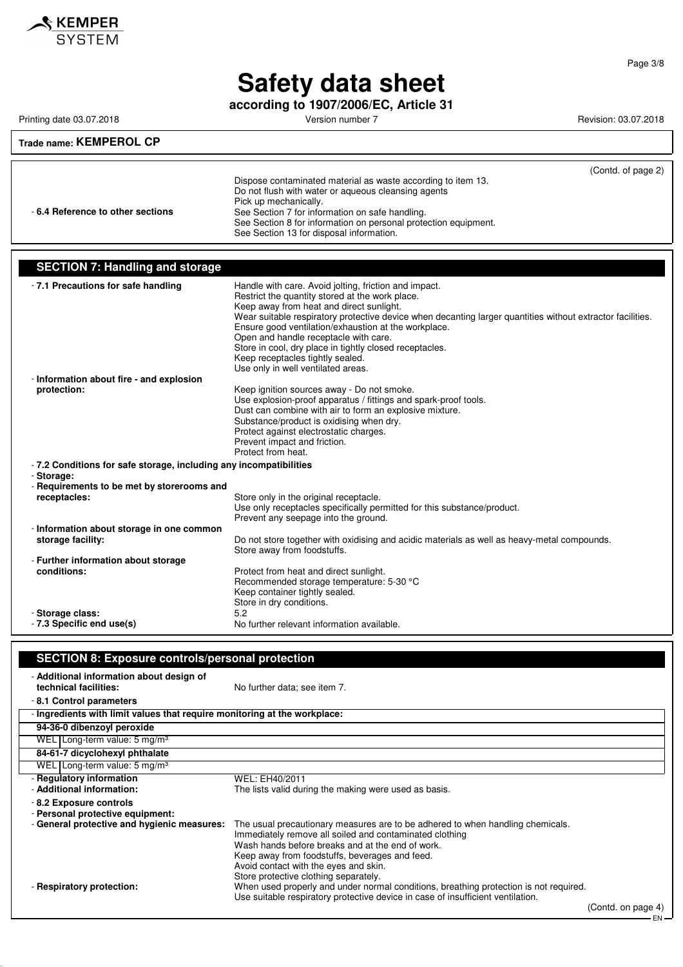

**according to 1907/2006/EC, Article 31**

Printing date 03.07.2018 **Printing date 03.07.2018** Version number 7 **Revision: 03.07.2018** 

### **Trade name: KEMPEROL CP**

|                                  |                                                                 | (Contd. of page 2) |
|----------------------------------|-----------------------------------------------------------------|--------------------|
|                                  | Dispose contaminated material as waste according to item 13.    |                    |
|                                  | Do not flush with water or aqueous cleansing agents             |                    |
|                                  | Pick up mechanically.                                           |                    |
| -6.4 Reference to other sections | See Section 7 for information on safe handling.                 |                    |
|                                  | See Section 8 for information on personal protection equipment. |                    |
|                                  | See Section 13 for disposal information.                        |                    |

### **SECTION 7: Handling and storage**

| -7.1 Precautions for safe handling                                | Handle with care. Avoid jolting, friction and impact.<br>Restrict the quantity stored at the work place.<br>Keep away from heat and direct sunlight.<br>Wear suitable respiratory protective device when decanting larger quantities without extractor facilities.<br>Ensure good ventilation/exhaustion at the workplace.<br>Open and handle receptacle with care.<br>Store in cool, dry place in tightly closed receptacles.<br>Keep receptacles tightly sealed.<br>Use only in well ventilated areas. |
|-------------------------------------------------------------------|----------------------------------------------------------------------------------------------------------------------------------------------------------------------------------------------------------------------------------------------------------------------------------------------------------------------------------------------------------------------------------------------------------------------------------------------------------------------------------------------------------|
| - Information about fire - and explosion<br>protection:           | Keep ignition sources away - Do not smoke.<br>Use explosion-proof apparatus / fittings and spark-proof tools.<br>Dust can combine with air to form an explosive mixture.<br>Substance/product is oxidising when dry.<br>Protect against electrostatic charges.<br>Prevent impact and friction.<br>Protect from heat.                                                                                                                                                                                     |
| -7.2 Conditions for safe storage, including any incompatibilities |                                                                                                                                                                                                                                                                                                                                                                                                                                                                                                          |
| - Storage:<br>- Requirements to be met by storerooms and          |                                                                                                                                                                                                                                                                                                                                                                                                                                                                                                          |
| receptacles:                                                      | Store only in the original receptacle.<br>Use only receptacles specifically permitted for this substance/product.<br>Prevent any seepage into the ground.                                                                                                                                                                                                                                                                                                                                                |
| - Information about storage in one common                         |                                                                                                                                                                                                                                                                                                                                                                                                                                                                                                          |
| storage facility:                                                 | Do not store together with oxidising and acidic materials as well as heavy-metal compounds.<br>Store away from foodstuffs.                                                                                                                                                                                                                                                                                                                                                                               |
| - Further information about storage                               |                                                                                                                                                                                                                                                                                                                                                                                                                                                                                                          |
| conditions:                                                       | Protect from heat and direct sunlight.<br>Recommended storage temperature: 5-30 °C<br>Keep container tightly sealed.<br>Store in dry conditions.                                                                                                                                                                                                                                                                                                                                                         |
| - Storage class:                                                  | 5.2                                                                                                                                                                                                                                                                                                                                                                                                                                                                                                      |
| - 7.3 Specific end use(s)                                         | No further relevant information available.                                                                                                                                                                                                                                                                                                                                                                                                                                                               |

#### **SECTION 8: Exposure controls/personal protection**

| - Additional information about design of<br>technical facilities:         | No further data; see item 7.                                                          |                    |
|---------------------------------------------------------------------------|---------------------------------------------------------------------------------------|--------------------|
| -8.1 Control parameters                                                   |                                                                                       |                    |
| - Ingredients with limit values that require monitoring at the workplace: |                                                                                       |                    |
| 94-36-0 dibenzoyl peroxide                                                |                                                                                       |                    |
| WEL Long-term value: $5 \text{ mg/m}^3$                                   |                                                                                       |                    |
| 84-61-7 dicyclohexyl phthalate                                            |                                                                                       |                    |
| WEL Long-term value: 5 mg/m <sup>3</sup>                                  |                                                                                       |                    |
| - Regulatory information                                                  | WEL: EH40/2011                                                                        |                    |
| - Additional information:                                                 | The lists valid during the making were used as basis.                                 |                    |
| -8.2 Exposure controls<br>- Personal protective equipment:                |                                                                                       |                    |
| - General protective and hygienic measures:                               | The usual precautionary measures are to be adhered to when handling chemicals.        |                    |
|                                                                           | Immediately remove all soiled and contaminated clothing                               |                    |
|                                                                           | Wash hands before breaks and at the end of work.                                      |                    |
|                                                                           | Keep away from foodstuffs, beverages and feed.                                        |                    |
|                                                                           | Avoid contact with the eyes and skin.<br>Store protective clothing separately.        |                    |
| - Respiratory protection:                                                 | When used properly and under normal conditions, breathing protection is not required. |                    |
|                                                                           | Use suitable respiratory protective device in case of insufficient ventilation.       |                    |
|                                                                           |                                                                                       | (Contd. on page 4) |

 $\mathsf{l}$ 

EN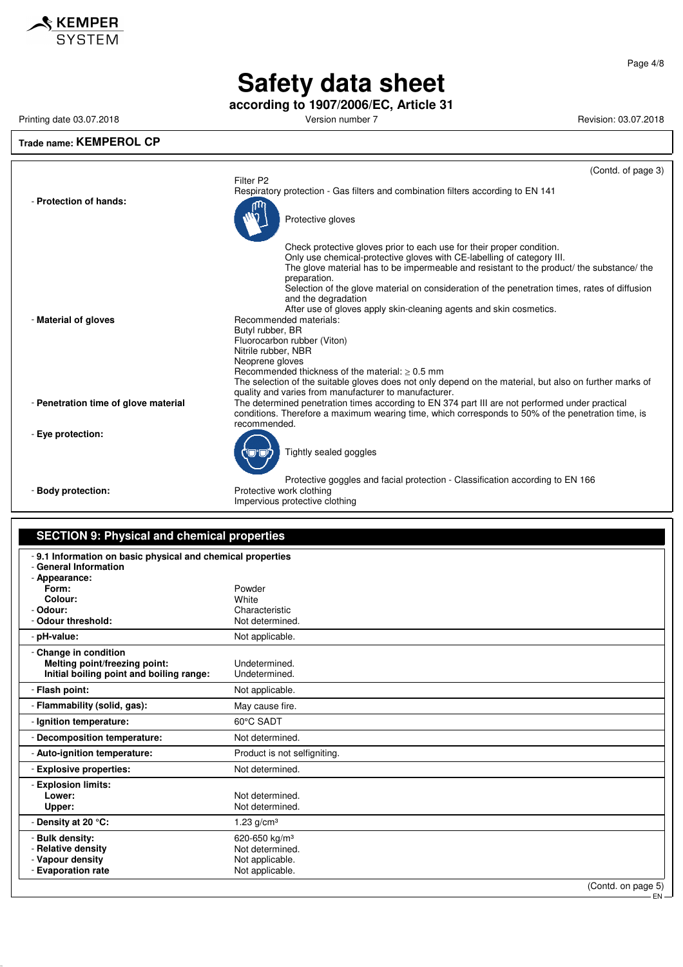

**according to 1907/2006/EC, Article 31**

**Trade name: KEMPEROL CP**

Printing date 03.07.2018 **Printing date 03.07.2018** Version number 7 **Revision: 03.07.2018** Revision: 03.07.2018

#### (Contd. of page 3) Filter P2 Respiratory protection - Gas filters and combination filters according to EN 141 - **Protection of hands:** Protective gloves Check protective gloves prior to each use for their proper condition. Only use chemical-protective gloves with CE-labelling of category III. The glove material has to be impermeable and resistant to the product/ the substance/ the preparation. Selection of the glove material on consideration of the penetration times, rates of diffusion and the degradation After use of gloves apply skin-cleaning agents and skin cosmetics. - **Material of gloves** Recommended materials: Butyl rubber, BR Fluorocarbon rubber (Viton) Nitrile rubber, NBR Neoprene gloves Recommended thickness of the material:  $\geq 0.5$  mm The selection of the suitable gloves does not only depend on the material, but also on further marks of quality and varies from manufacturer to manufacturer. - **Penetration time of glove material** The determined penetration times according to EN 374 part III are not performed under practical conditions. Therefore a maximum wearing time, which corresponds to 50% of the penetration time, is recommended. - **Eye protection:** Tightly sealed goggles Protective goggles and facial protection - Classification according to EN 166

- **Body protection:** Protective work clothing Impervious protective clothing

| <b>SECTION 9: Physical and chemical properties</b>                                                                                                          |                                                                                                          |  |  |
|-------------------------------------------------------------------------------------------------------------------------------------------------------------|----------------------------------------------------------------------------------------------------------|--|--|
| - 9.1 Information on basic physical and chemical properties<br>- General Information<br>- Appearance:<br>Form:<br>Colour:<br>- Odour:<br>- Odour threshold: | Powder<br>White<br>Characteristic<br>Not determined.                                                     |  |  |
| - pH-value:                                                                                                                                                 | Not applicable.                                                                                          |  |  |
| - Change in condition<br>Melting point/freezing point:<br>Initial boiling point and boiling range:                                                          | Undetermined.<br>Undetermined.                                                                           |  |  |
| - Flash point:                                                                                                                                              | Not applicable.                                                                                          |  |  |
| - Flammability (solid, gas):                                                                                                                                | May cause fire.                                                                                          |  |  |
| - Ignition temperature:                                                                                                                                     | 60°C SADT                                                                                                |  |  |
| - Decomposition temperature:                                                                                                                                | Not determined.                                                                                          |  |  |
| - Auto-ignition temperature:                                                                                                                                | Product is not selfigniting.                                                                             |  |  |
| - Explosive properties:                                                                                                                                     | Not determined.                                                                                          |  |  |
| - Explosion limits:<br>Lower:<br>Upper:<br>- Density at 20 °C:                                                                                              | Not determined.<br>Not determined.<br>1.23 $g/cm3$                                                       |  |  |
| - Bulk density:<br>- Relative density<br>- Vapour density<br>- Evaporation rate                                                                             | 620-650 kg/m <sup>3</sup><br>Not determined.<br>Not applicable.<br>Not applicable.<br>(Contd. on page 5) |  |  |

(Contd. on page 5)

EN

Page 4/8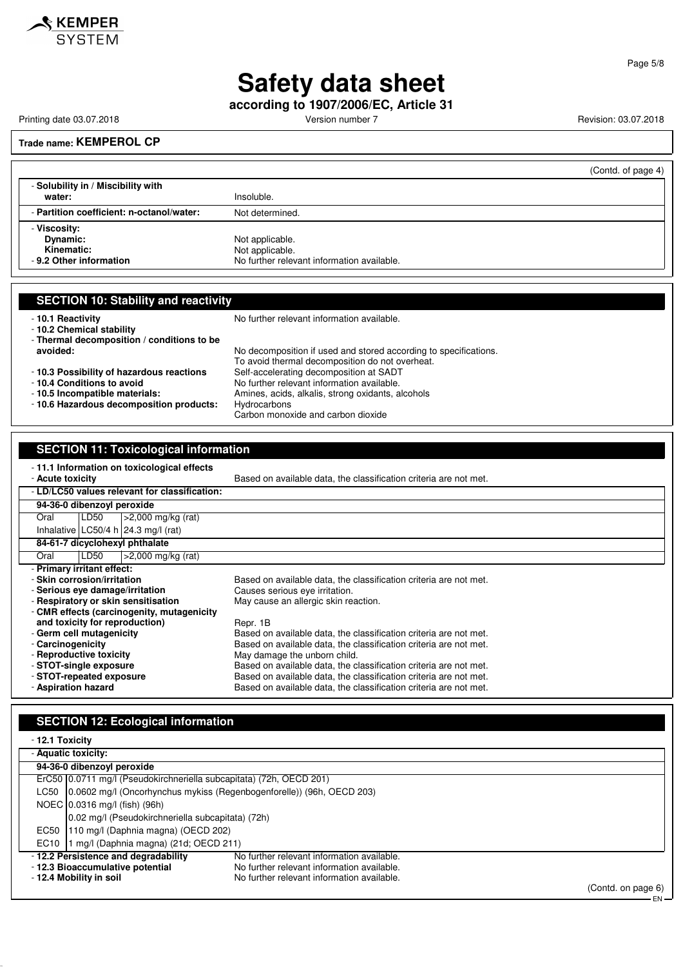

**according to 1907/2006/EC, Article 31**

Printing date 03.07.2018 **Printing date 03.07.2018** Version number 7 **Revision: 03.07.2018** 

#### **Trade name: KEMPEROL CP**

|                                           | (Contd. of page 4)                         |
|-------------------------------------------|--------------------------------------------|
| - Solubility in / Miscibility with        |                                            |
| water:                                    | Insoluble.                                 |
| - Partition coefficient: n-octanol/water: | Not determined.                            |
| - Viscosity:                              |                                            |
| Dynamic:                                  | Not applicable.                            |
| Kinematic:                                | Not applicable.                            |
| - 9.2 Other information                   | No further relevant information available. |

- **10.2 Chemical stability**

- **Thermal decomposition / conditions to be**
- **10.3 Possibility of hazardous reactions**<br>- 10.4 Conditions to avoid

- **10.6 Hazardous decomposition products:** Hydrocarbons

- **10.1 Reactivity 10.1 Reactivity 10.1 Reactivity 10.1 Reactivity** 

**avoided:** No decomposition if used and stored according to specifications. To avoid thermal decomposition do not overheat.<br>Self-accelerating decomposition at SADT - **10.4 Conditions to avoid**<br>**- 10.5 Incompatible materials:** No further relevant information available.<br>Amines, acids, alkalis, strong oxidants, a Amines, acids, alkalis, strong oxidants, alcohols Carbon monoxide and carbon dioxide

#### **SECTION 11: Toxicological information** - **11.1 Information on toxicological effects** Based on available data, the classification criteria are not met.

| AVULU LUAIVILI                              |                            |                                       | Davou on available data, the classification chiteria are not met: |
|---------------------------------------------|----------------------------|---------------------------------------|-------------------------------------------------------------------|
| LD/LC50 values relevant for classification: |                            |                                       |                                                                   |
| 94-36-0 dibenzoyl peroxide                  |                            |                                       |                                                                   |
| Oral                                        | LD50                       | $\geq$ 2,000 mg/kg (rat)              |                                                                   |
|                                             |                            | Inhalative LC50/4 h $24.3$ mg/l (rat) |                                                                   |
|                                             |                            | 84-61-7 dicyclohexyl phthalate        |                                                                   |
| Oral                                        | LD50                       | $\geq$ 2,000 mg/kg (rat)              |                                                                   |
|                                             | - Primary irritant effect: |                                       |                                                                   |
| - Skin corrosion/irritation                 |                            |                                       | Based on available data, the classification criteria are not met. |
| - Serious eve damage/irritation             |                            |                                       | Causes serious eye irritation.                                    |
|                                             |                            | - Respiratory or skin sensitisation   | May cause an allergic skin reaction.                              |
| - CMR effects (carcinogenity, mutagenicity  |                            |                                       |                                                                   |
|                                             |                            | and toxicity for reproduction)        | Repr. 1B                                                          |
| - Germ cell mutagenicity                    |                            |                                       | Based on available data, the classification criteria are not met. |
| - Carcinogenicity                           |                            |                                       | Based on available data, the classification criteria are not met. |
| - Reproductive toxicity                     |                            |                                       | May damage the unborn child.                                      |
| - STOT-single exposure                      |                            |                                       | Based on available data, the classification criteria are not met. |
| - STOT-repeated exposure                    |                            |                                       | Based on available data, the classification criteria are not met. |
| - Aspiration hazard                         |                            |                                       | Based on available data, the classification criteria are not met. |

| <b>SECTION 12: Ecological information</b>                           |                                                                        |                    |  |
|---------------------------------------------------------------------|------------------------------------------------------------------------|--------------------|--|
| - 12.1 Toxicity                                                     |                                                                        |                    |  |
| - Aquatic toxicity:                                                 |                                                                        |                    |  |
| 94-36-0 dibenzoyl peroxide                                          |                                                                        |                    |  |
| ErC50 0.0711 mg/l (Pseudokirchneriella subcapitata) (72h, OECD 201) |                                                                        |                    |  |
| LC50                                                                | [0.0602 mg/l (Oncorhynchus mykiss (Regenbogenforelle)) (96h, OECD 203) |                    |  |
| NOEC 0.0316 mg/l (fish) (96h)                                       |                                                                        |                    |  |
|                                                                     | 0.02 mg/l (Pseudokirchneriella subcapitata) (72h)                      |                    |  |
| EC50                                                                | 110 mg/l (Daphnia magna) (OECD 202)                                    |                    |  |
| 1 mg/l (Daphnia magna) (21d; OECD 211)<br>EC10                      |                                                                        |                    |  |
| - 12.2 Persistence and degradability                                | No further relevant information available.                             |                    |  |
| - 12.3 Bioaccumulative potential                                    | No further relevant information available.                             |                    |  |
| - 12.4 Mobility in soil                                             | No further relevant information available.                             |                    |  |
|                                                                     |                                                                        | (Contd. on page 6) |  |

Page 5/8

EN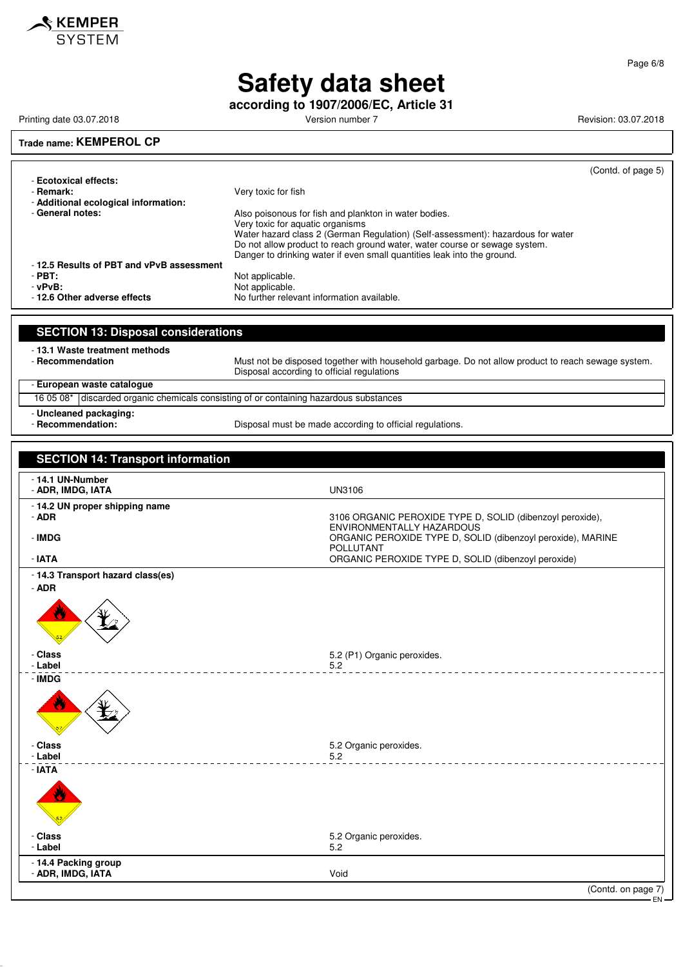

**according to 1907/2006/EC, Article 31**

Printing date 03.07.2018 **Printing date 03.07.2018** Version number 7 **Revision: 03.07.2018** Revision: 03.07.2018

#### **Trade name: KEMPEROL CP**

(Contd. of page 5) - **Ecotoxical effects:** - **Remark:** Very toxic for fish - **Additional ecological information:** Also poisonous for fish and plankton in water bodies. Very toxic for aquatic organisms Water hazard class 2 (German Regulation) (Self-assessment): hazardous for water Do not allow product to reach ground water, water course or sewage system. Danger to drinking water if even small quantities leak into the ground. - **12.5 Results of PBT and vPvB assessment** - **PBT:**<br>- vPvB: Not applicable.<br>Not applicable. verball **PVB:**  $\frac{1}{2}$  and  $\frac{1}{2}$  and  $\frac{1}{2}$  and  $\frac{1}{2}$  and  $\frac{1}{2}$  and  $\frac{1}{2}$  and  $\frac{1}{2}$  and  $\frac{1}{2}$  and  $\frac{1}{2}$  and  $\frac{1}{2}$  and  $\frac{1}{2}$  and  $\frac{1}{2}$  and  $\frac{1}{2}$  and  $\frac{1}{2}$  and  $\frac{1}{2}$  a No further relevant information available. **SECTION 13: Disposal considerations**

- **13.1 Waste treatment methods**

Must not be disposed together with household garbage. Do not allow product to reach sewage system. Disposal according to official regulations

#### - **European waste catalogue**

16 05 08\* discarded organic chemicals consisting of or containing hazardous substances - **Uncleaned packaging:**

- **Recommendation:** Disposal must be made according to official regulations.

### **SECTION 14: Transport information** - **14.1 UN-Number** - **ADR, IMDG, IATA** UN3106 - **14.2 UN proper shipping name** 3106 ORGANIC PEROXIDE TYPE D, SOLID (dibenzoyl peroxide), ENVIRONMENTALLY HAZARDOUS - **IMDG** ORGANIC PEROXIDE TYPE D, SOLID (dibenzoyl peroxide), MARINE POLLUTANT - **IATA** ORGANIC PEROXIDE TYPE D, SOLID (dibenzoyl peroxide) - **14.3 Transport hazard class(es)** - **ADR** - **Class** 5.2 (P1) Organic peroxides. - **Label** 5.2 \_\_\_\_\_\_\_\_\_\_\_\_\_\_\_\_\_\_\_\_\_\_ - **IMDG** - **Class** 5.2 Organic peroxides. - **Label** 5.2 - **IATA** - **Class** 5.2 Organic peroxides. - **Label** 5.2 - **14.4 Packing group ADR, IMDG, IATA** Void (Contd. on page 7)

Page 6/8

EN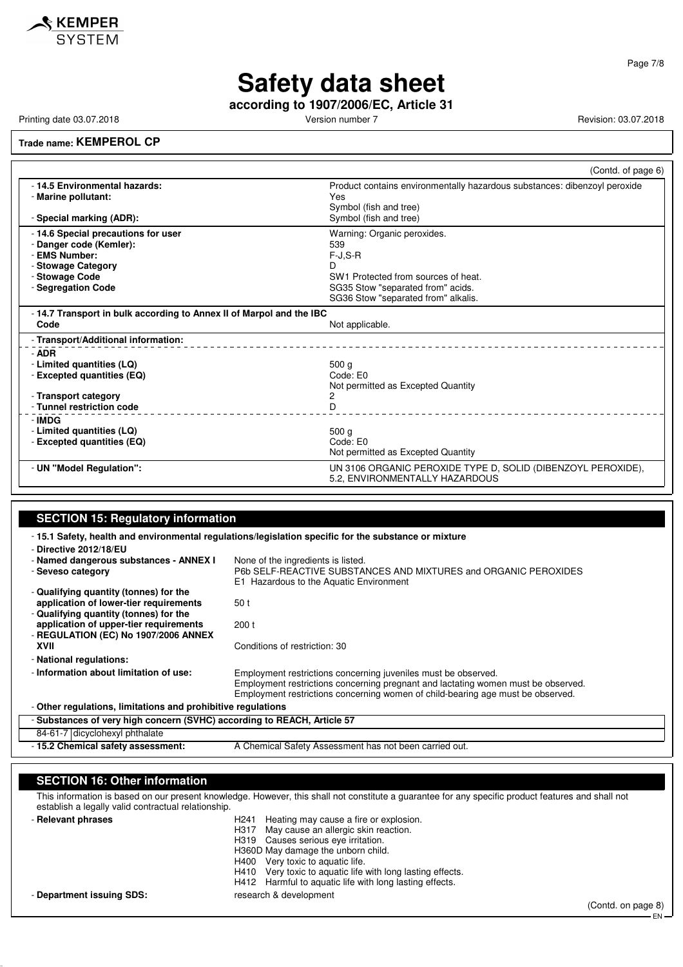

**according to 1907/2006/EC, Article 31**

Printing date 03.07.2018 **Printing date 03.07.2018** Version number 7 **Revision: 03.07.2018** Revision: 03.07.2018

#### **Trade name: KEMPEROL CP**

|                                                                                                                                               | (Contd. of page 6)                                                                                                                                                       |
|-----------------------------------------------------------------------------------------------------------------------------------------------|--------------------------------------------------------------------------------------------------------------------------------------------------------------------------|
| - 14.5 Environmental hazards:<br>- Marine pollutant:<br>- Special marking (ADR):                                                              | Product contains environmentally hazardous substances: dibenzoyl peroxide<br>Yes<br>Symbol (fish and tree)<br>Symbol (fish and tree)                                     |
| - 14.6 Special precautions for user<br>- Danger code (Kemler):<br>- EMS Number:<br>- Stowage Category<br>- Stowage Code<br>- Segregation Code | Warning: Organic peroxides.<br>539<br>$F-J, S-R$<br>D<br>SW1 Protected from sources of heat.<br>SG35 Stow "separated from" acids.<br>SG36 Stow "separated from" alkalis. |
| - 14.7 Transport in bulk according to Annex II of Marpol and the IBC<br>Code                                                                  | Not applicable.                                                                                                                                                          |
| - Transport/Additional information:<br>- ADR                                                                                                  |                                                                                                                                                                          |
| - Limited quantities (LQ)<br>- Excepted quantities (EQ)<br>- Transport category<br>- Tunnel restriction code                                  | 500 <sub>q</sub><br>Code: E0<br>Not permitted as Excepted Quantity<br>2<br>D                                                                                             |
| - IMDG<br>- Limited quantities (LQ)<br>- Excepted quantities (EQ)                                                                             | 500 <sub>g</sub><br>Code: E0<br>Not permitted as Excepted Quantity                                                                                                       |
| - UN "Model Regulation":                                                                                                                      | UN 3106 ORGANIC PEROXIDE TYPE D, SOLID (DIBENZOYL PEROXIDE),<br>5.2, ENVIRONMENTALLY HAZARDOUS                                                                           |

### **SECTION 15: Regulatory information**

- **15.1 Safety, health and environmental regulations/legislation specific for the substance or mixture** - **Directive 2012/18/EU** - **Named dangerous substances - ANNEX I** None of the ingredients is listed.<br>- Seveso category **P6b SELF-REACTIVE SUBSTA** - **Seveso category** P6b SELF-REACTIVE SUBSTANCES AND MIXTURES and ORGANIC PEROXIDES E1 Hazardous to the Aquatic Environment - **Qualifying quantity (tonnes) for the application of lower-tier requirements** 50 t - **Qualifying quantity (tonnes) for the application of upper-tier requirements** 200 t - **REGULATION (EC) No 1907/2006 ANNEX** Conditions of restriction: 30 - **National regulations:** - **Information about limitation of use:** Employment restrictions concerning juveniles must be observed. Employment restrictions concerning pregnant and lactating women must be observed. Employment restrictions concerning women of child-bearing age must be observed. - **Other regulations, limitations and prohibitive regulations** - **Substances of very high concern (SVHC) according to REACH, Article 57**

84-61-7 dicyclohexyl phthalate

- **15.2 Chemical safety assessment:** A Chemical Safety Assessment has not been carried out.

#### **SECTION 16: Other information**

This information is based on our present knowledge. However, this shall not constitute a guarantee for any specific product features and shall not establish a legally valid contractual relationship.

- **Relevant phrases** 

| H <sub>241</sub> |  |  | Heating may cause a fire or explosion. |
|------------------|--|--|----------------------------------------|
|                  |  |  |                                        |

- H317 May cause an allergic skin reaction.<br>H319 Causes serious eve irritation.
	- Causes serious eye irritation.
- H360D May damage the unborn child.
- H400 Very toxic to aquatic life.
- H410 Very toxic to aquatic life with long lasting effects.
- H412 Harmful to aquatic life with long lasting effects.

- **Department issuing SDS:** research & development